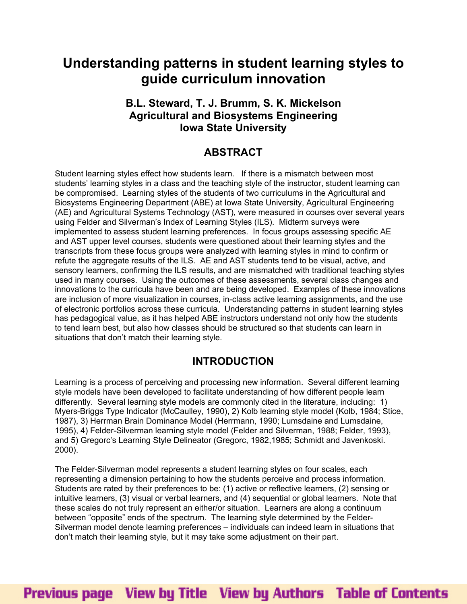# **Understanding patterns in student learning styles to guide curriculum innovation**

## **B.L. Steward, T. J. Brumm, S. K. Mickelson Agricultural and Biosystems Engineering Iowa State University**

## **ABSTRACT**

Student learning styles effect how students learn. If there is a mismatch between most students' learning styles in a class and the teaching style of the instructor, student learning can be compromised. Learning styles of the students of two curriculums in the Agricultural and Biosystems Engineering Department (ABE) at Iowa State University, Agricultural Engineering (AE) and Agricultural Systems Technology (AST), were measured in courses over several years using Felder and Silverman's Index of Learning Styles (ILS). Midterm surveys were implemented to assess student learning preferences. In focus groups assessing specific AE and AST upper level courses, students were questioned about their learning styles and the transcripts from these focus groups were analyzed with learning styles in mind to confirm or refute the aggregate results of the ILS. AE and AST students tend to be visual, active, and sensory learners, confirming the ILS results, and are mismatched with traditional teaching styles used in many courses. Using the outcomes of these assessments, several class changes and innovations to the curricula have been and are being developed. Examples of these innovations are inclusion of more visualization in courses, in-class active learning assignments, and the use of electronic portfolios across these curricula. Understanding patterns in student learning styles has pedagogical value, as it has helped ABE instructors understand not only how the students to tend learn best, but also how classes should be structured so that students can learn in situations that don't match their learning style.

## **INTRODUCTION**

Learning is a process of perceiving and processing new information. Several different learning style models have been developed to facilitate understanding of how different people learn differently. Several learning style models are commonly cited in the literature, including: 1) Myers-Briggs Type Indicator (McCaulley, 1990), 2) Kolb learning style model (Kolb, 1984; Stice, 1987), 3) Herrman Brain Dominance Model (Herrmann, 1990; Lumsdaine and Lumsdaine, 1995), 4) Felder-Silverman learning style model (Felder and Silverman, 1988; Felder, 1993), and 5) Gregorc's Learning Style Delineator (Gregorc, 1982,1985; Schmidt and Javenkoski. 2000).

The Felder-Silverman model represents a student learning styles on four scales, each representing a dimension pertaining to how the students perceive and process information. Students are rated by their preferences to be: (1) active or reflective learners, (2) sensing or intuitive learners, (3) visual or verbal learners, and (4) sequential or global learners. Note that these scales do not truly represent an either/or situation. Learners are along a continuum between "opposite" ends of the spectrum. The learning style determined by the Felder-Silverman model denote learning preferences – individuals can indeed learn in situations that don't match their learning style, but it may take some adjustment on their part.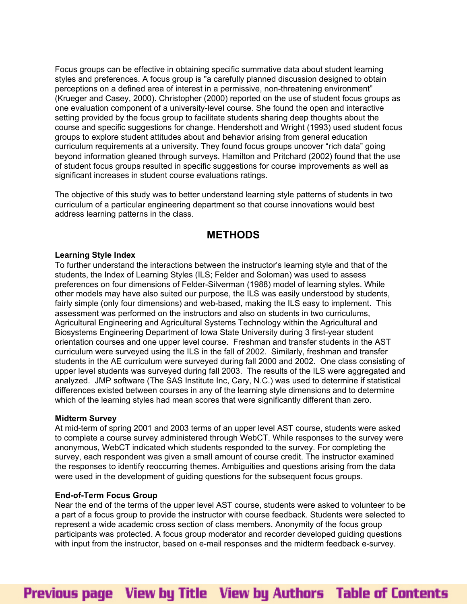Focus groups can be effective in obtaining specific summative data about student learning styles and preferences. A focus group is "a carefully planned discussion designed to obtain perceptions on a defined area of interest in a permissive, non-threatening environment" (Krueger and Casey, 2000). Christopher (2000) reported on the use of student focus groups as one evaluation component of a university-level course. She found the open and interactive setting provided by the focus group to facilitate students sharing deep thoughts about the course and specific suggestions for change. Hendershott and Wright (1993) used student focus groups to explore student attitudes about and behavior arising from general education curriculum requirements at a university. They found focus groups uncover "rich data" going beyond information gleaned through surveys. Hamilton and Pritchard (2002) found that the use of student focus groups resulted in specific suggestions for course improvements as well as significant increases in student course evaluations ratings.

The objective of this study was to better understand learning style patterns of students in two curriculum of a particular engineering department so that course innovations would best address learning patterns in the class.

### **METHODS**

### **Learning Style Index**

To further understand the interactions between the instructor's learning style and that of the students, the Index of Learning Styles (ILS; Felder and Soloman) was used to assess preferences on four dimensions of Felder-Silverman (1988) model of learning styles. While other models may have also suited our purpose, the ILS was easily understood by students, fairly simple (only four dimensions) and web-based, making the ILS easy to implement. This assessment was performed on the instructors and also on students in two curriculums, Agricultural Engineering and Agricultural Systems Technology within the Agricultural and Biosystems Engineering Department of Iowa State University during 3 first-year student orientation courses and one upper level course. Freshman and transfer students in the AST curriculum were surveyed using the ILS in the fall of 2002. Similarly, freshman and transfer students in the AE curriculum were surveyed during fall 2000 and 2002. One class consisting of upper level students was surveyed during fall 2003. The results of the ILS were aggregated and analyzed. JMP software (The SAS Institute Inc, Cary, N.C.) was used to determine if statistical differences existed between courses in any of the learning style dimensions and to determine which of the learning styles had mean scores that were significantly different than zero.

### **Midterm Survey**

At mid-term of spring 2001 and 2003 terms of an upper level AST course, students were asked to complete a course survey administered through WebCT. While responses to the survey were anonymous, WebCT indicated which students responded to the survey. For completing the survey, each respondent was given a small amount of course credit. The instructor examined the responses to identify reoccurring themes. Ambiguities and questions arising from the data were used in the development of guiding questions for the subsequent focus groups.

### **End-of-Term Focus Group**

Near the end of the terms of the upper level AST course, students were asked to volunteer to be a part of a focus group to provide the instructor with course feedback. Students were selected to represent a wide academic cross section of class members. Anonymity of the focus group participants was protected. A focus group moderator and recorder developed guiding questions with input from the instructor, based on e-mail responses and the midterm feedback e-survey.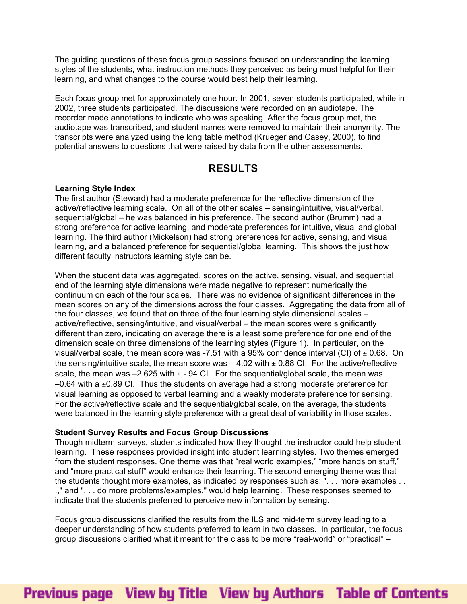The guiding questions of these focus group sessions focused on understanding the learning styles of the students, what instruction methods they perceived as being most helpful for their learning, and what changes to the course would best help their learning.

Each focus group met for approximately one hour. In 2001, seven students participated, while in 2002, three students participated. The discussions were recorded on an audiotape. The recorder made annotations to indicate who was speaking. After the focus group met, the audiotape was transcribed, and student names were removed to maintain their anonymity. The transcripts were analyzed using the long table method (Krueger and Casey, 2000), to find potential answers to questions that were raised by data from the other assessments.

## **RESULTS**

### **Learning Style Index**

The first author (Steward) had a moderate preference for the reflective dimension of the active/reflective learning scale. On all of the other scales – sensing/intuitive, visual/verbal, sequential/global – he was balanced in his preference. The second author (Brumm) had a strong preference for active learning, and moderate preferences for intuitive, visual and global learning. The third author (Mickelson) had strong preferences for active, sensing, and visual learning, and a balanced preference for sequential/global learning. This shows the just how different faculty instructors learning style can be.

When the student data was aggregated, scores on the active, sensing, visual, and sequential end of the learning style dimensions were made negative to represent numerically the continuum on each of the four scales. There was no evidence of significant differences in the mean scores on any of the dimensions across the four classes. Aggregating the data from all of the four classes, we found that on three of the four learning style dimensional scales – active/reflective, sensing/intuitive, and visual/verbal – the mean scores were significantly different than zero, indicating on average there is a least some preference for one end of the dimension scale on three dimensions of the learning styles (Figure 1). In particular, on the visual/verbal scale, the mean score was -7.51 with a 95% confidence interval (CI) of  $\pm$  0.68. On the sensing/intuitive scale, the mean score was  $-4.02$  with  $\pm$  0.88 CI. For the active/reflective scale, the mean was  $-2.625$  with  $\pm$  -.94 Cl. For the sequential/global scale, the mean was  $-0.64$  with a  $\pm 0.89$  CI. Thus the students on average had a strong moderate preference for visual learning as opposed to verbal learning and a weakly moderate preference for sensing. For the active/reflective scale and the sequential/global scale, on the average, the students were balanced in the learning style preference with a great deal of variability in those scales.

### **Student Survey Results and Focus Group Discussions**

Though midterm surveys, students indicated how they thought the instructor could help student learning. These responses provided insight into student learning styles. Two themes emerged from the student responses. One theme was that "real world examples," "more hands on stuff," and "more practical stuff" would enhance their learning. The second emerging theme was that the students thought more examples, as indicated by responses such as: ". . . more examples . . .," and ". . . do more problems/examples," would help learning. These responses seemed to indicate that the students preferred to perceive new information by sensing.

Focus group discussions clarified the results from the ILS and mid-term survey leading to a deeper understanding of how students preferred to learn in two classes. In particular, the focus group discussions clarified what it meant for the class to be more "real-world" or "practical" –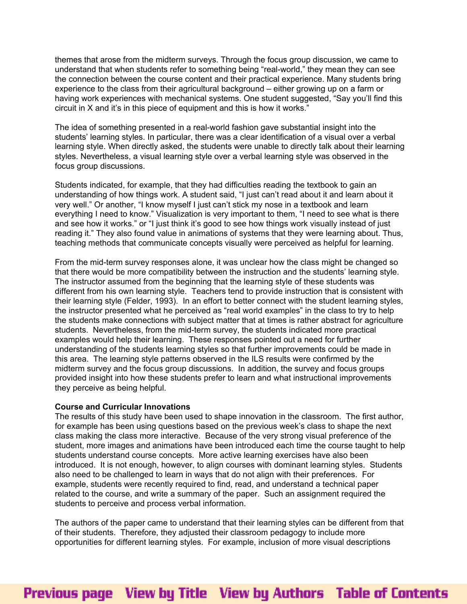themes that arose from the midterm surveys. Through the focus group discussion, we came to understand that when students refer to something being "real-world," they mean they can see the connection between the course content and their practical experience. Many students bring experience to the class from their agricultural background – either growing up on a farm or having work experiences with mechanical systems. One student suggested, "Say you'll find this circuit in X and it's in this piece of equipment and this is how it works."

The idea of something presented in a real-world fashion gave substantial insight into the students' learning styles. In particular, there was a clear identification of a visual over a verbal learning style. When directly asked, the students were unable to directly talk about their learning styles. Nevertheless, a visual learning style over a verbal learning style was observed in the focus group discussions.

Students indicated, for example, that they had difficulties reading the textbook to gain an understanding of how things work. A student said, "I just can't read about it and learn about it very well." Or another, "I know myself I just can't stick my nose in a textbook and learn everything I need to know." Visualization is very important to them, "I need to see what is there and see how it works." or "I just think it's good to see how things work visually instead of just reading it." They also found value in animations of systems that they were learning about. Thus, teaching methods that communicate concepts visually were perceived as helpful for learning.

From the mid-term survey responses alone, it was unclear how the class might be changed so that there would be more compatibility between the instruction and the students' learning style. The instructor assumed from the beginning that the learning style of these students was different from his own learning style. Teachers tend to provide instruction that is consistent with their learning style (Felder, 1993). In an effort to better connect with the student learning styles, the instructor presented what he perceived as "real world examples" in the class to try to help the students make connections with subject matter that at times is rather abstract for agriculture students. Nevertheless, from the mid-term survey, the students indicated more practical examples would help their learning. These responses pointed out a need for further understanding of the students learning styles so that further improvements could be made in this area. The learning style patterns observed in the ILS results were confirmed by the midterm survey and the focus group discussions. In addition, the survey and focus groups provided insight into how these students prefer to learn and what instructional improvements they perceive as being helpful.

### **Course and Curricular Innovations**

The results of this study have been used to shape innovation in the classroom. The first author, for example has been using questions based on the previous week's class to shape the next class making the class more interactive. Because of the very strong visual preference of the student, more images and animations have been introduced each time the course taught to help students understand course concepts. More active learning exercises have also been introduced. It is not enough, however, to align courses with dominant learning styles. Students also need to be challenged to learn in ways that do not align with their preferences. For example, students were recently required to find, read, and understand a technical paper related to the course, and write a summary of the paper. Such an assignment required the students to perceive and process verbal information.

The authors of the paper came to understand that their learning styles can be different from that of their students. Therefore, they adjusted their classroom pedagogy to include more opportunities for different learning styles. For example, inclusion of more visual descriptions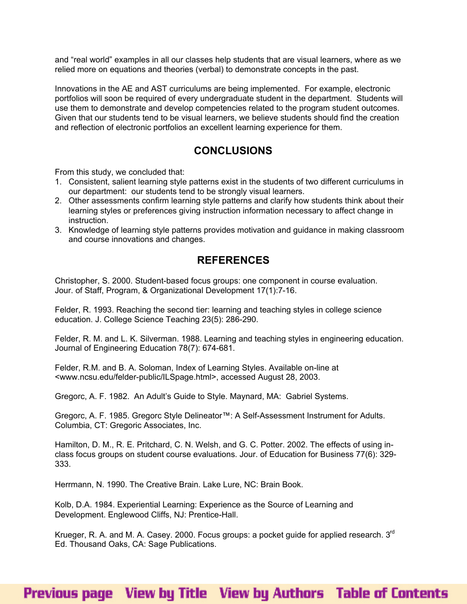and "real world" examples in all our classes help students that are visual learners, where as we relied more on equations and theories (verbal) to demonstrate concepts in the past.

Innovations in the AE and AST curriculums are being implemented. For example, electronic portfolios will soon be required of every undergraduate student in the department. Students will use them to demonstrate and develop competencies related to the program student outcomes. Given that our students tend to be visual learners, we believe students should find the creation and reflection of electronic portfolios an excellent learning experience for them.

## **CONCLUSIONS**

From this study, we concluded that:

- 1. Consistent, salient learning style patterns exist in the students of two different curriculums in our department: our students tend to be strongly visual learners.
- 2. Other assessments confirm learning style patterns and clarify how students think about their learning styles or preferences giving instruction information necessary to affect change in instruction.
- 3. Knowledge of learning style patterns provides motivation and guidance in making classroom and course innovations and changes.

## **REFERENCES**

Christopher, S. 2000. Student-based focus groups: one component in course evaluation. Jour. of Staff, Program, & Organizational Development 17(1):7-16.

Felder, R. 1993. Reaching the second tier: learning and teaching styles in college science education. J. College Science Teaching 23(5): 286-290.

Felder, R. M. and L. K. Silverman. 1988. Learning and teaching styles in engineering education. Journal of Engineering Education 78(7): 674-681.

Felder, R.M. and B. A. Soloman, Index of Learning Styles. Available on-line at <www.ncsu.edu/felder-public/ILSpage.html>, accessed August 28, 2003.

Gregorc, A. F. 1982. An Adult's Guide to Style. Maynard, MA: Gabriel Systems.

Gregorc, A. F. 1985. Gregorc Style Delineator™: A Self-Assessment Instrument for Adults. Columbia, CT: Gregoric Associates, Inc.

Hamilton, D. M., R. E. Pritchard, C. N. Welsh, and G. C. Potter. 2002. The effects of using inclass focus groups on student course evaluations. Jour. of Education for Business 77(6): 329- 333.

Herrmann, N. 1990. The Creative Brain. Lake Lure, NC: Brain Book.

Kolb, D.A. 1984. Experiential Learning: Experience as the Source of Learning and Development. Englewood Cliffs, NJ: Prentice-Hall.

Krueger, R. A. and M. A. Casey. 2000. Focus groups: a pocket guide for applied research. 3<sup>rd</sup> Ed. Thousand Oaks, CA: Sage Publications.